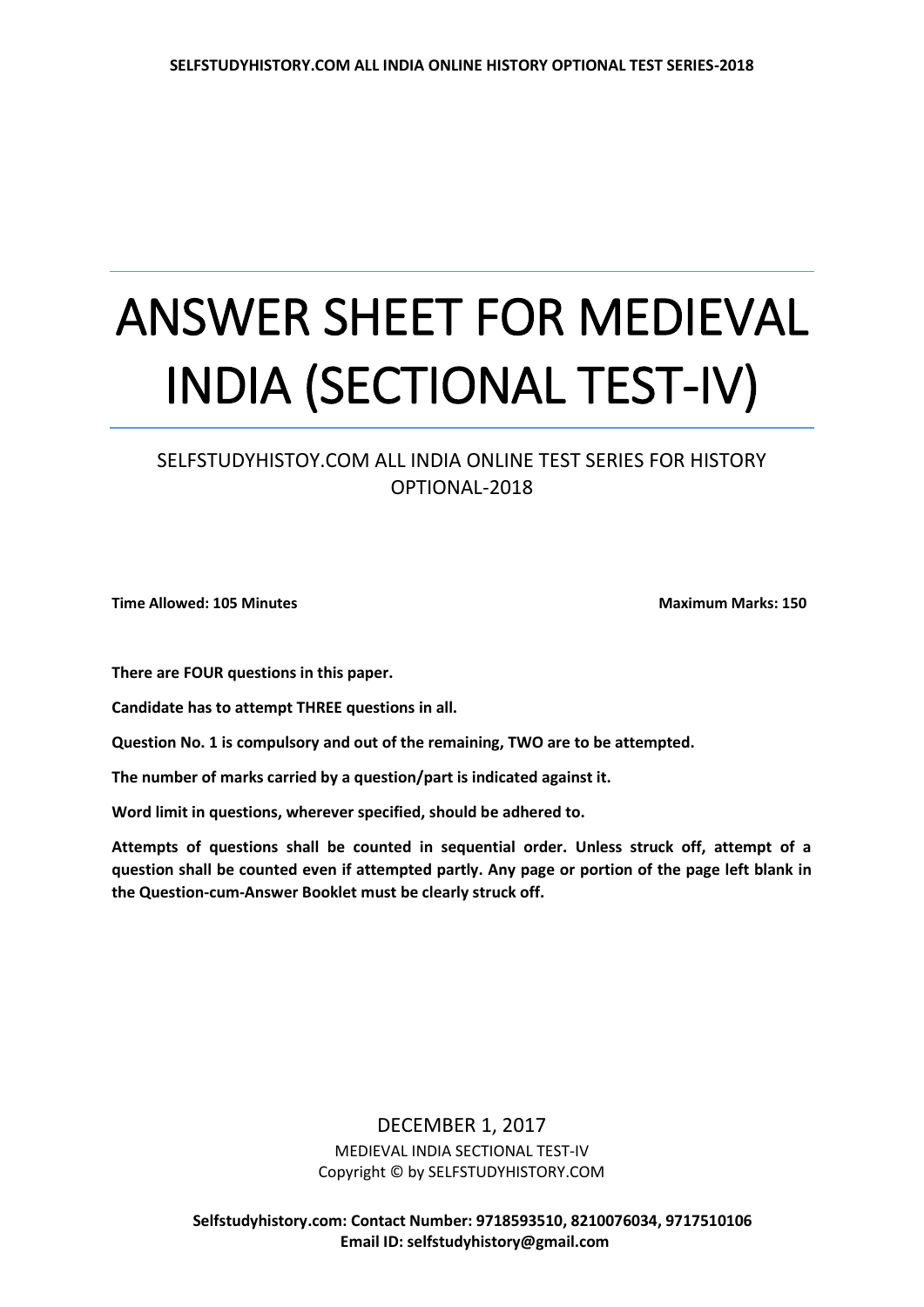## ANSWER SHEET FOR MEDIEVAL INDIA (SECTIONAL TEST-IV)

## SELFSTUDYHISTOY.COM ALL INDIA ONLINE TEST SERIES FOR HISTORY OPTIONAL-2018

**Time Allowed: 105 Minutes Maximum Marks: 150** 

**There are FOUR questions in this paper.**

**Candidate has to attempt THREE questions in all.** 

**Question No. 1 is compulsory and out of the remaining, TWO are to be attempted.**

**The number of marks carried by a question/part is indicated against it.** 

**Word limit in questions, wherever specified, should be adhered to.** 

**Attempts of questions shall be counted in sequential order. Unless struck off, attempt of a question shall be counted even if attempted partly. Any page or portion of the page left blank in the Question-cum-Answer Booklet must be clearly struck off.**

> DECEMBER 1, 2017 MEDIEVAL INDIA SECTIONAL TEST-IV Copyright © by SELFSTUDYHISTORY.COM

 **Selfstudyhistory.com: Contact Number: 9718593510, 8210076034, 9717510106 Email ID: selfstudyhistory@gmail.com**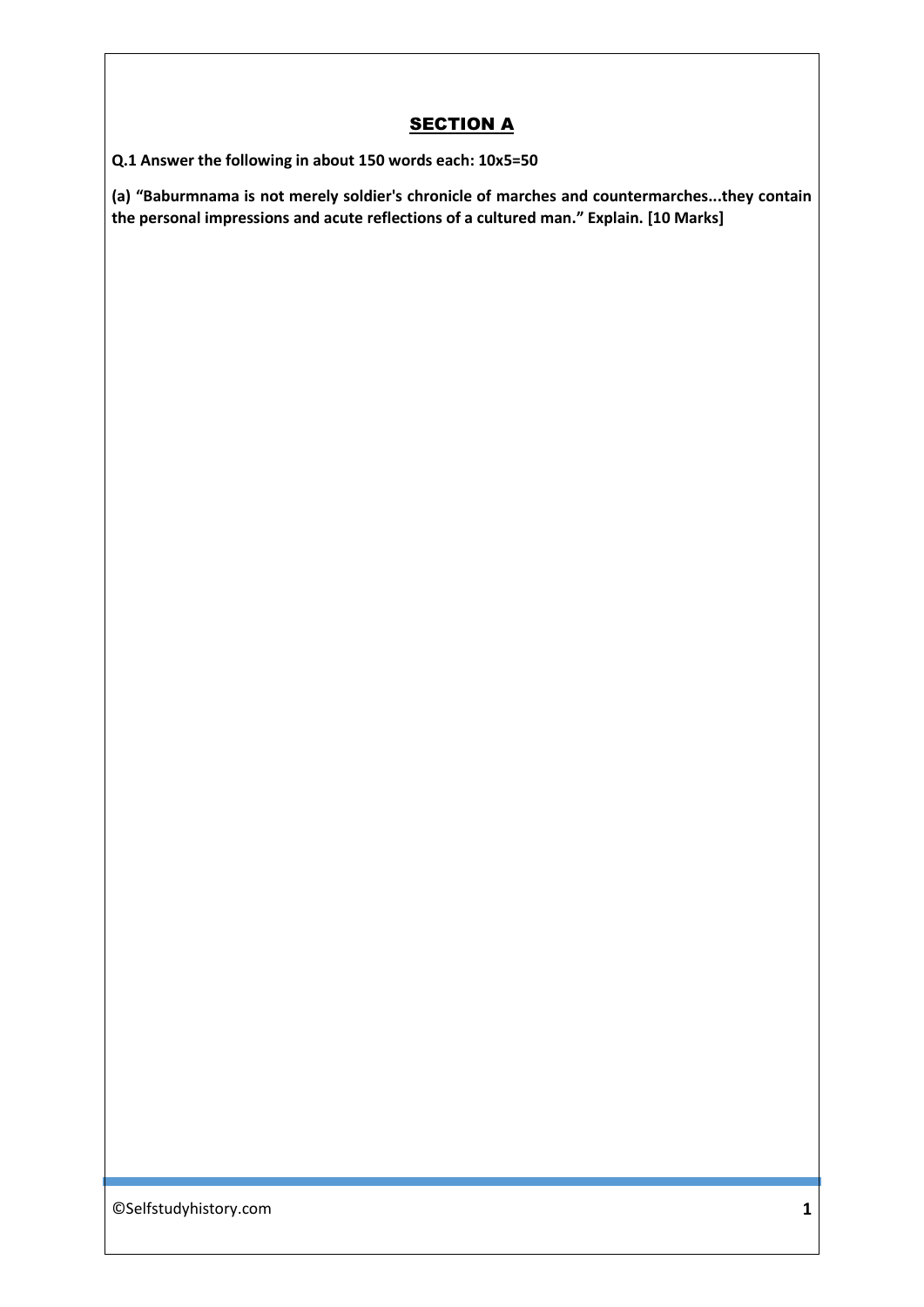## **SECTION A**

**Q.1 Answer the following in about 150 words each: 10x5=50**

**(a) "Baburmnama is not merely soldier's chronicle of marches and countermarches...they contain the personal impressions and acute reflections of a cultured man." Explain. [10 Marks]**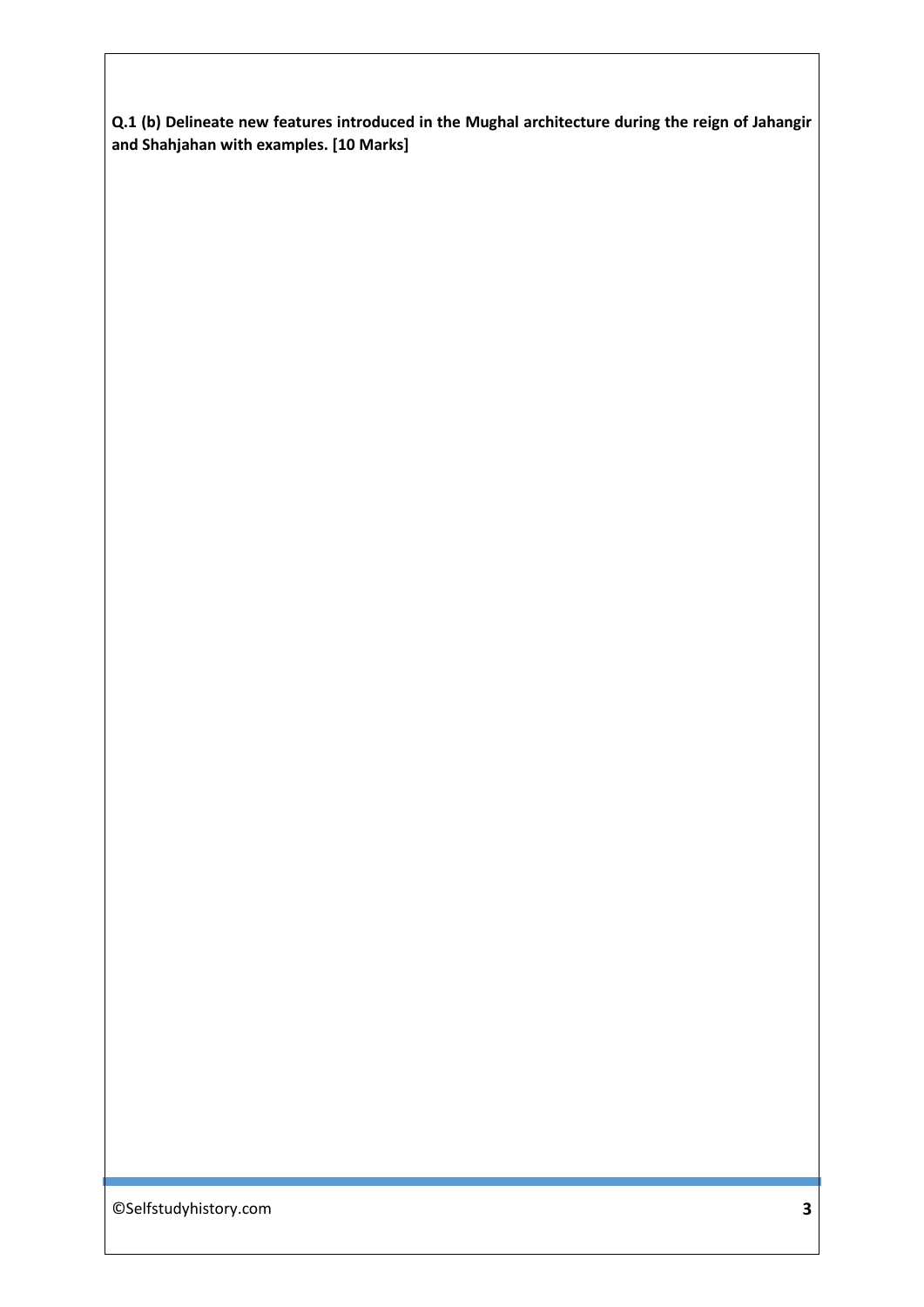**Q.1 (b) Delineate new features introduced in the Mughal architecture during the reign of Jahangir and Shahjahan with examples. [10 Marks]**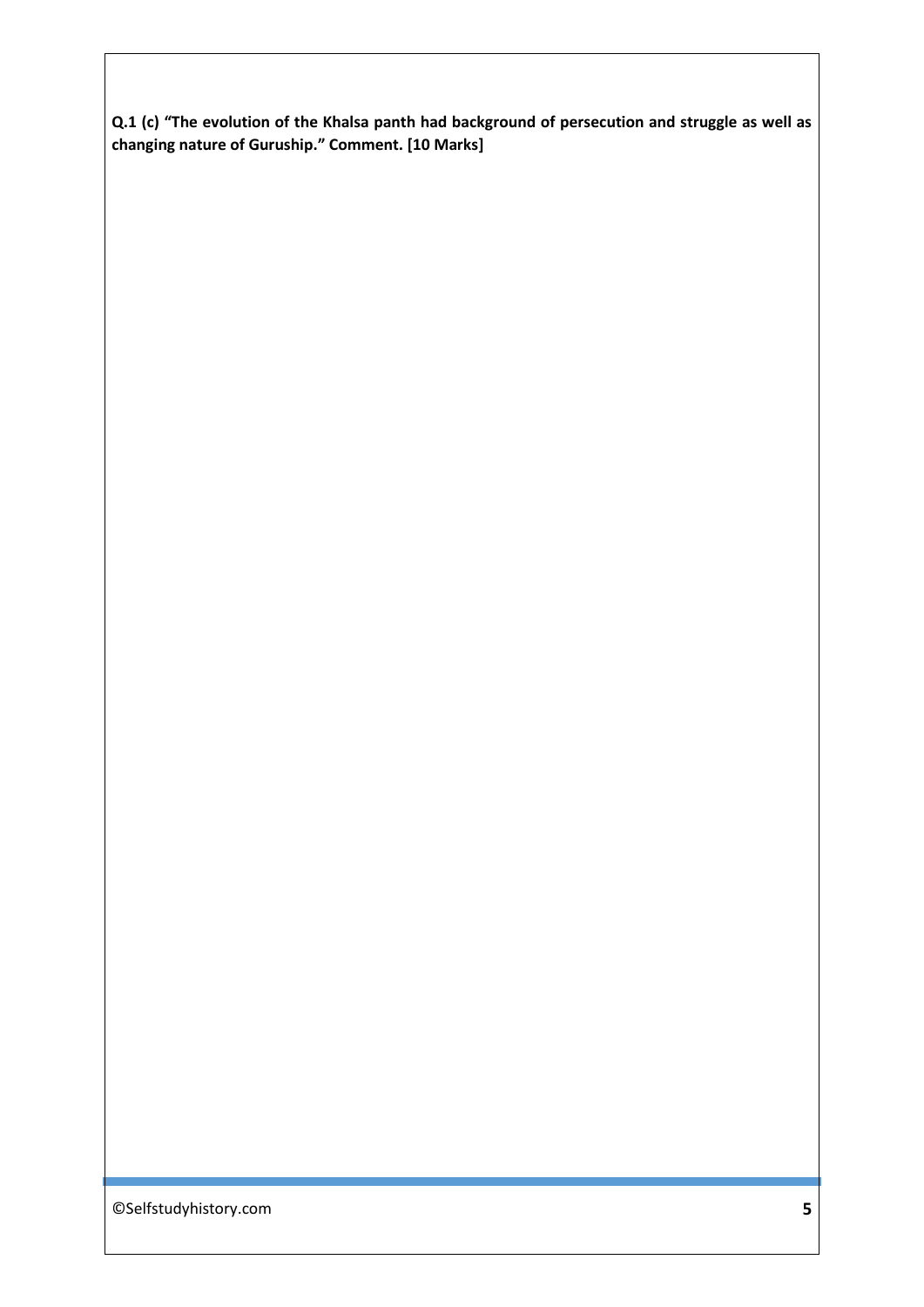**Q.1 (c) "The evolution of the Khalsa panth had background of persecution and struggle as well as changing nature of Guruship." Comment. [10 Marks]**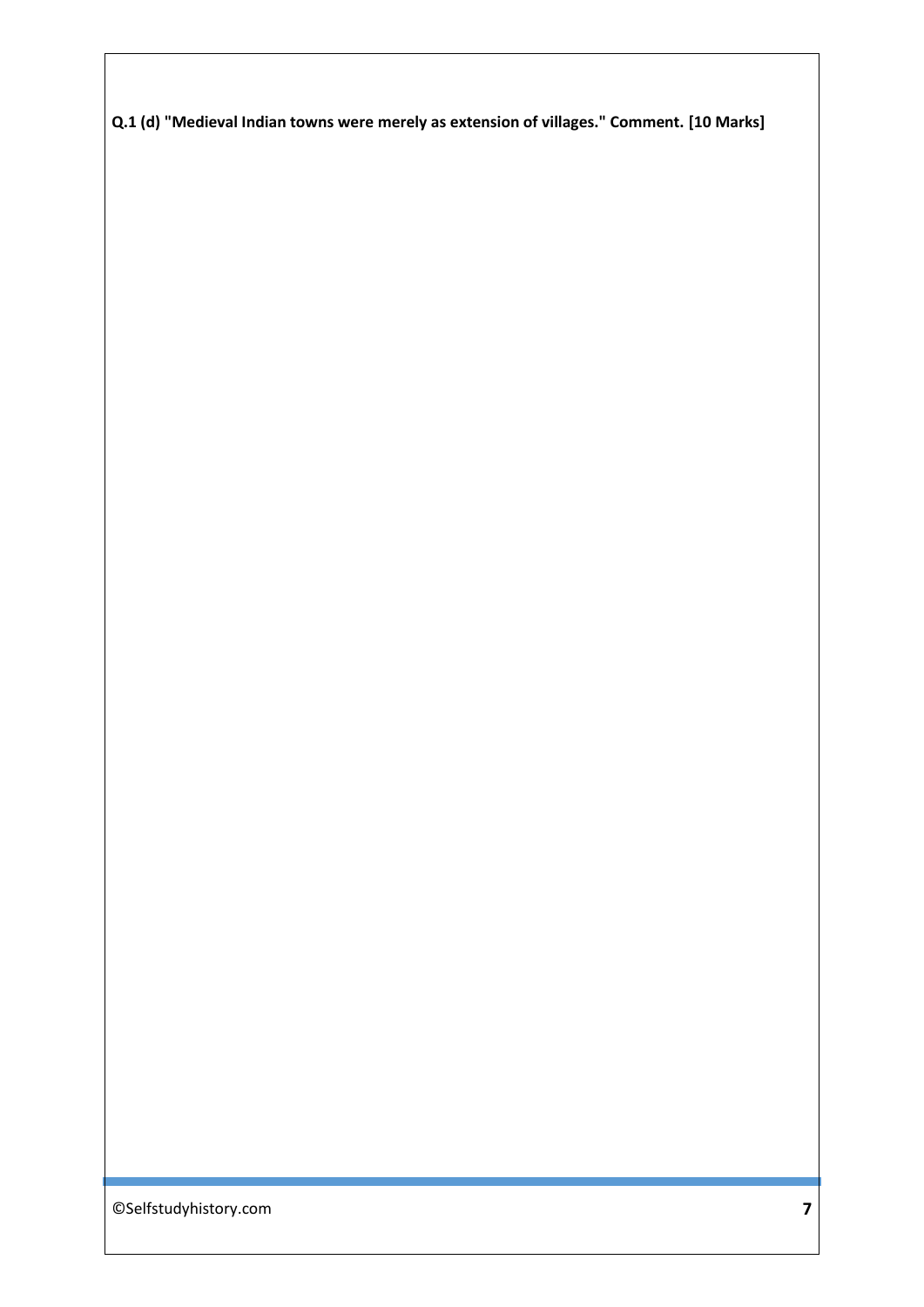**Q.1 (d) "Medieval Indian towns were merely as extension of villages." Comment. [10 Marks]**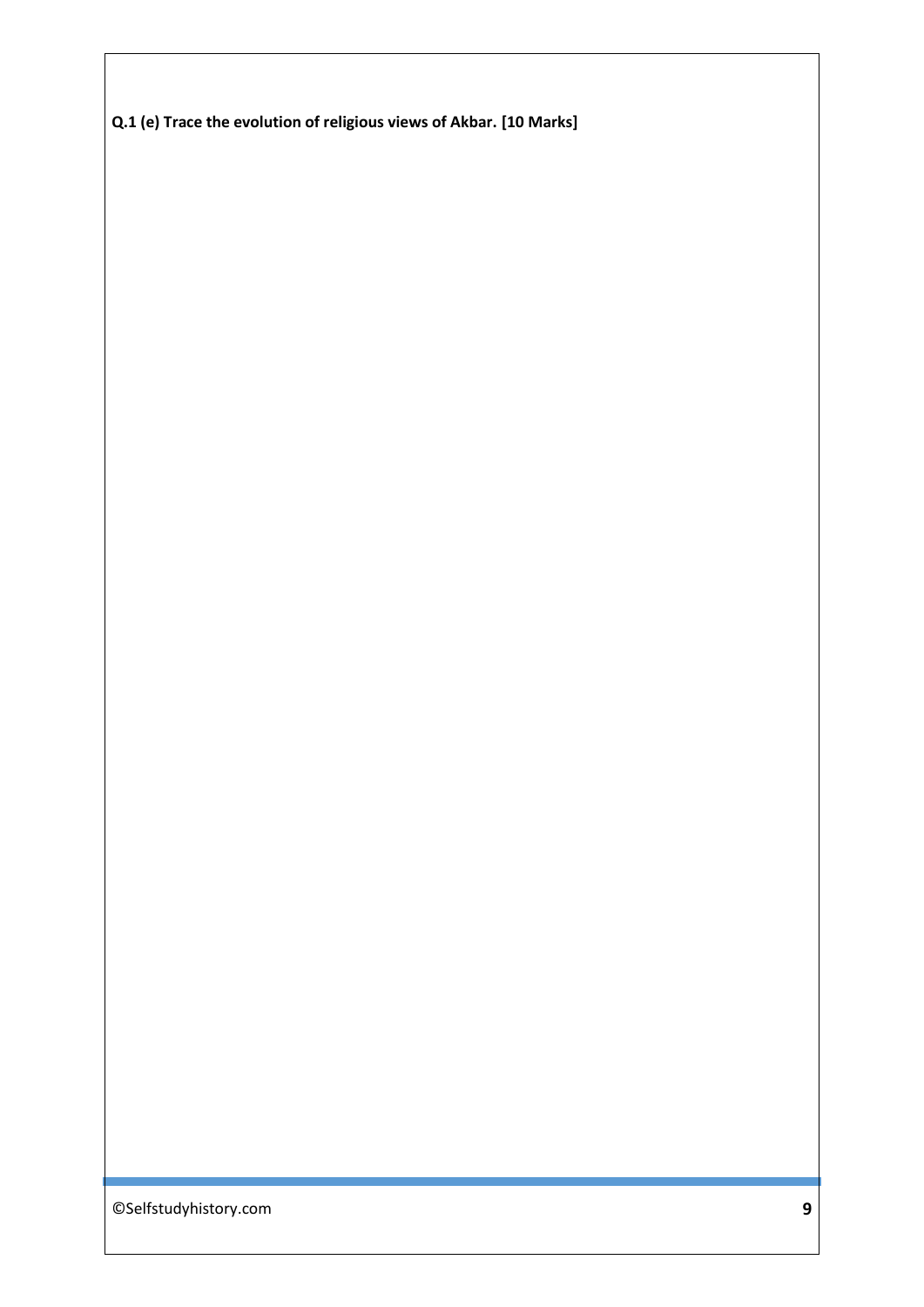**Q.1 (e) Trace the evolution of religious views of Akbar. [10 Marks]**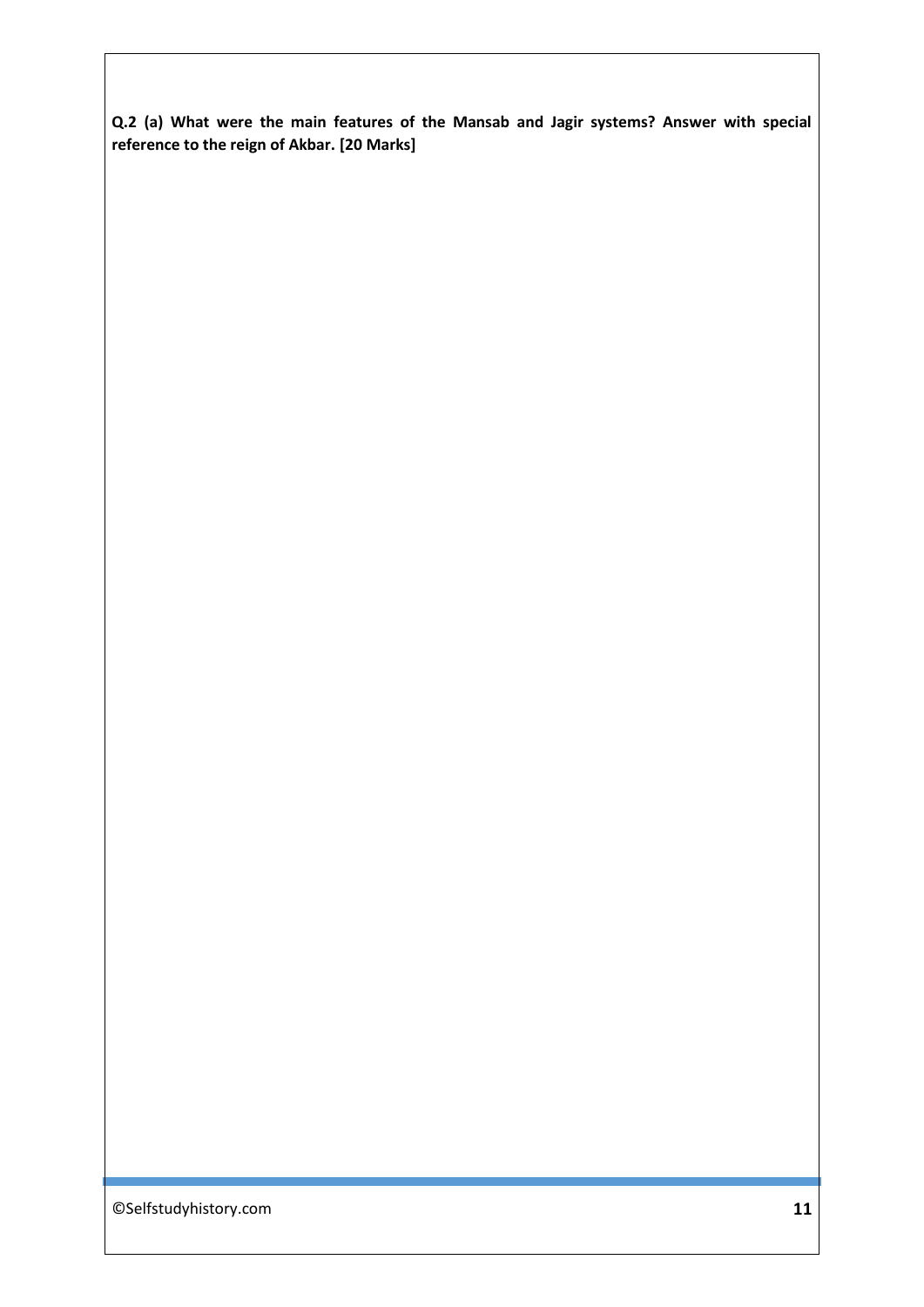**Q.2 (a) What were the main features of the Mansab and Jagir systems? Answer with special reference to the reign of Akbar. [20 Marks]**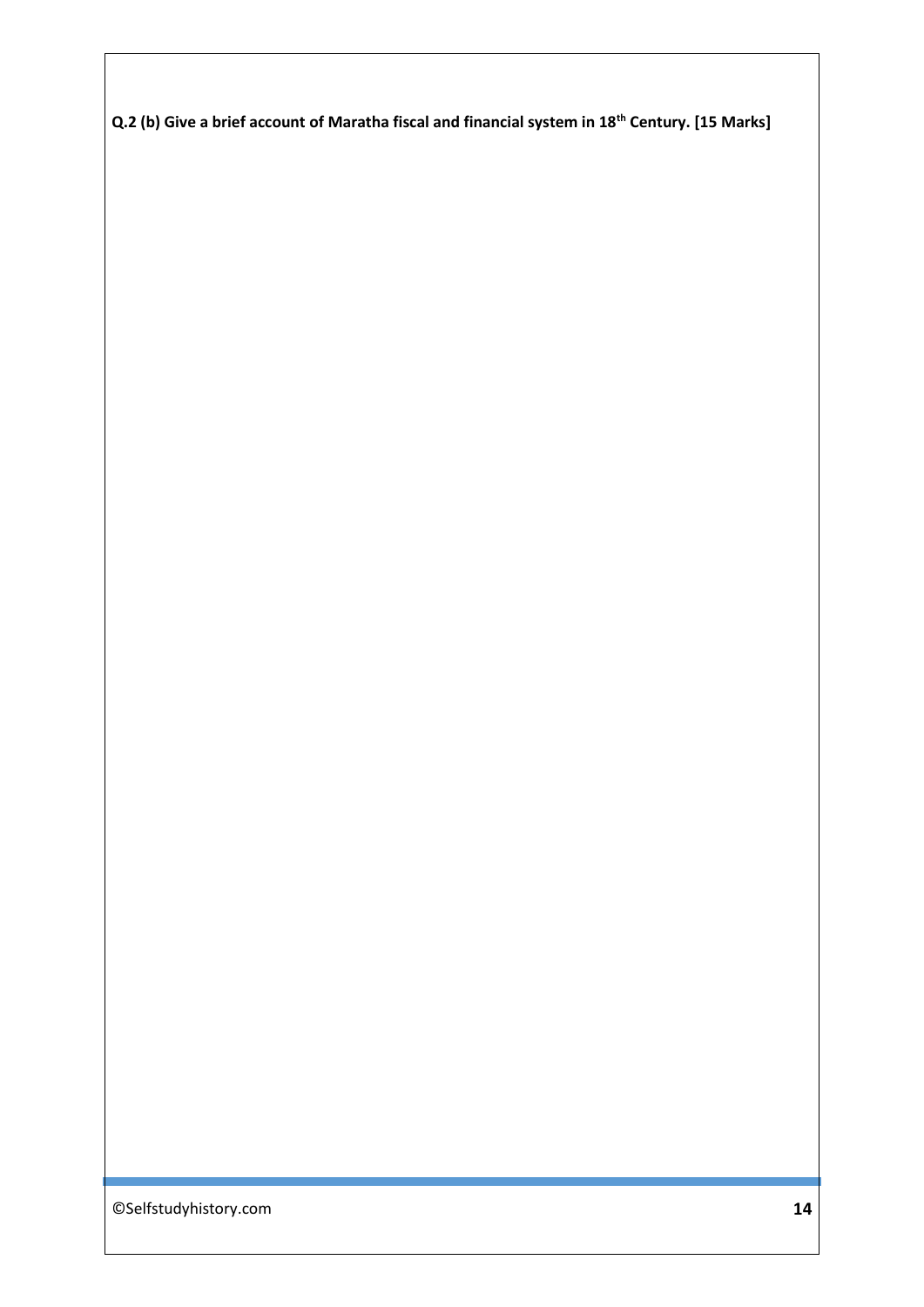**Q.2 (b) Give a brief account of Maratha fiscal and financial system in 18th Century. [15 Marks]**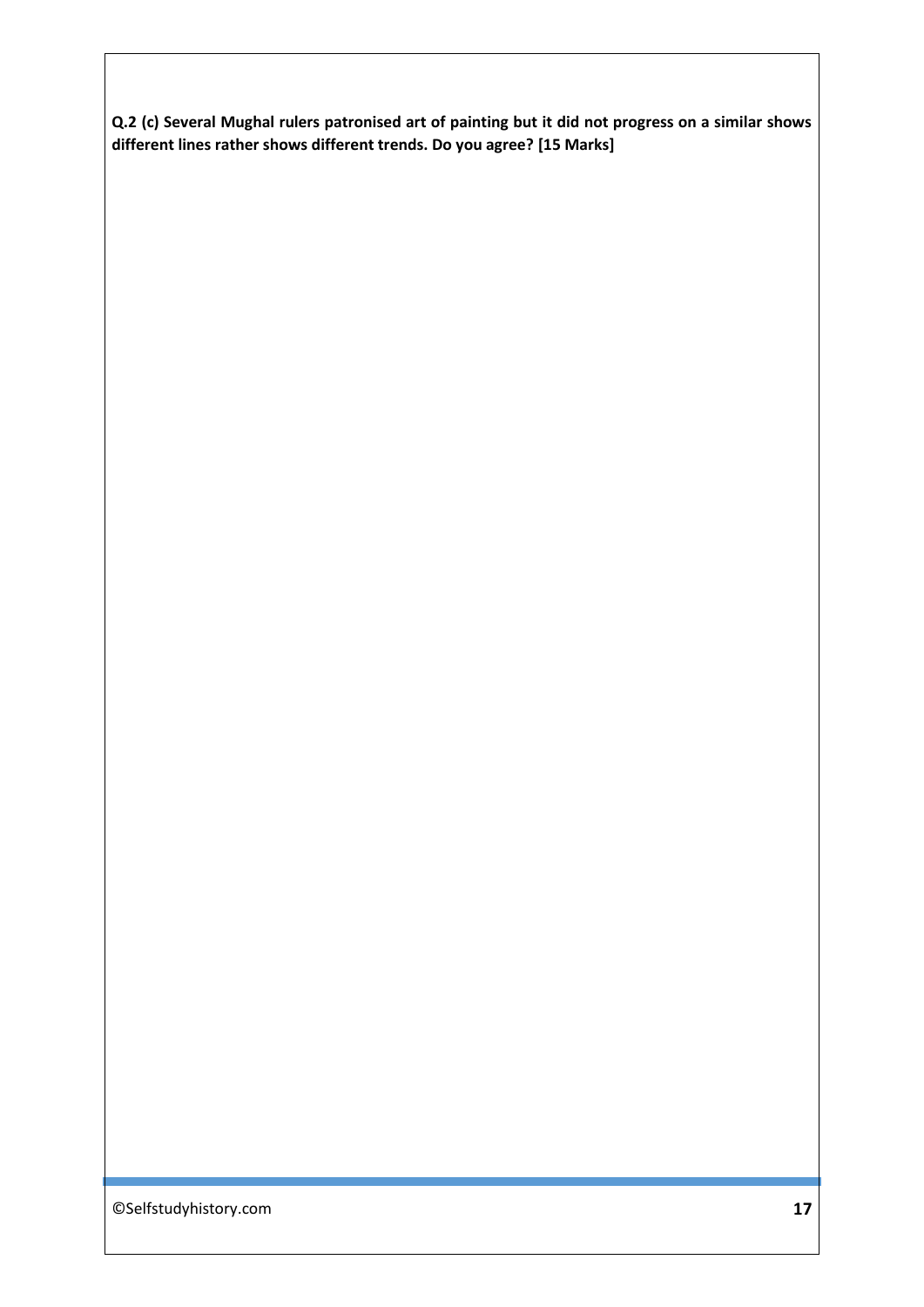**Q.2 (c) Several Mughal rulers patronised art of painting but it did not progress on a similar shows different lines rather shows different trends. Do you agree? [15 Marks]**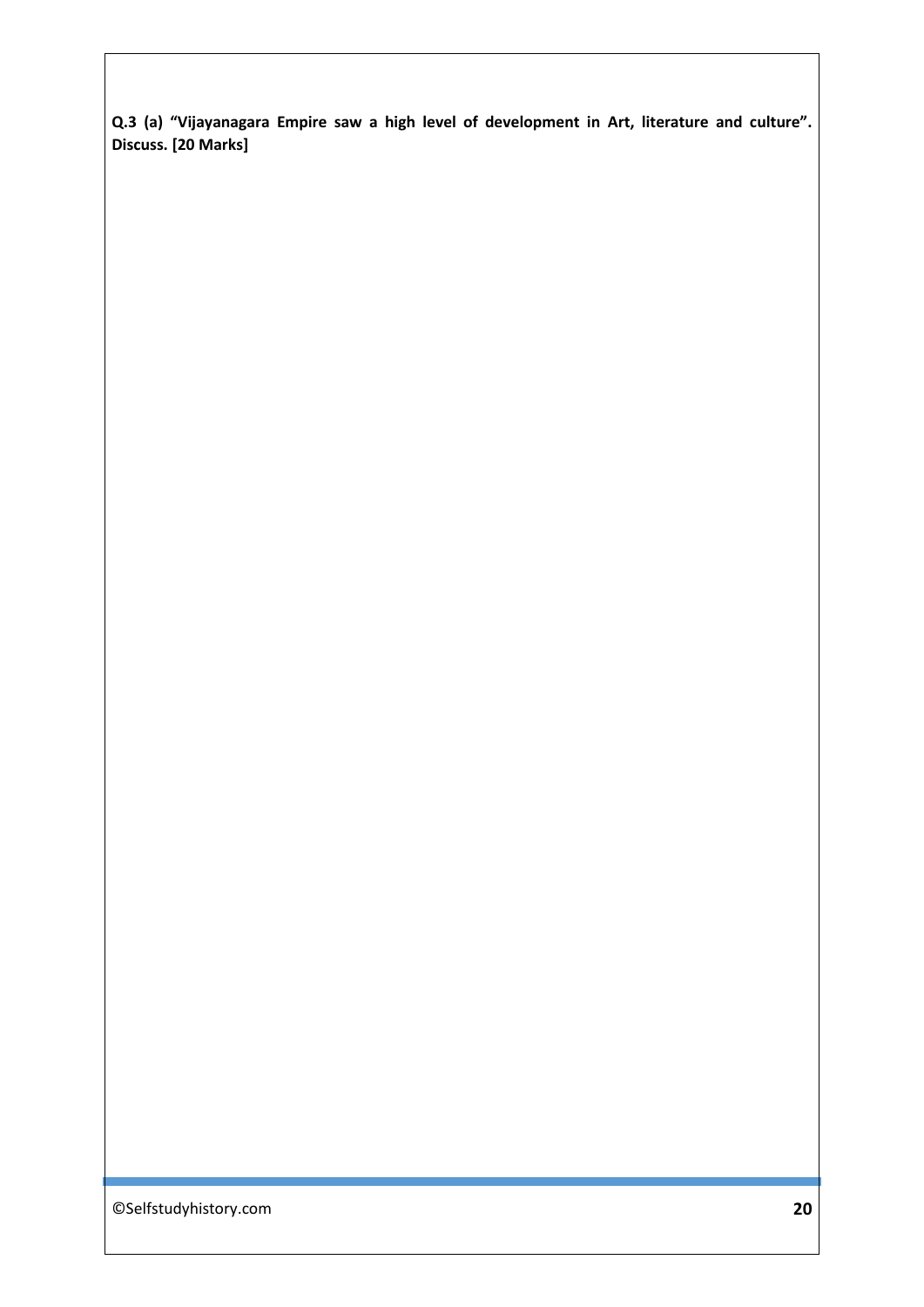**Q.3 (a) "Vijayanagara Empire saw a high level of development in Art, literature and culture". Discuss. [20 Marks]**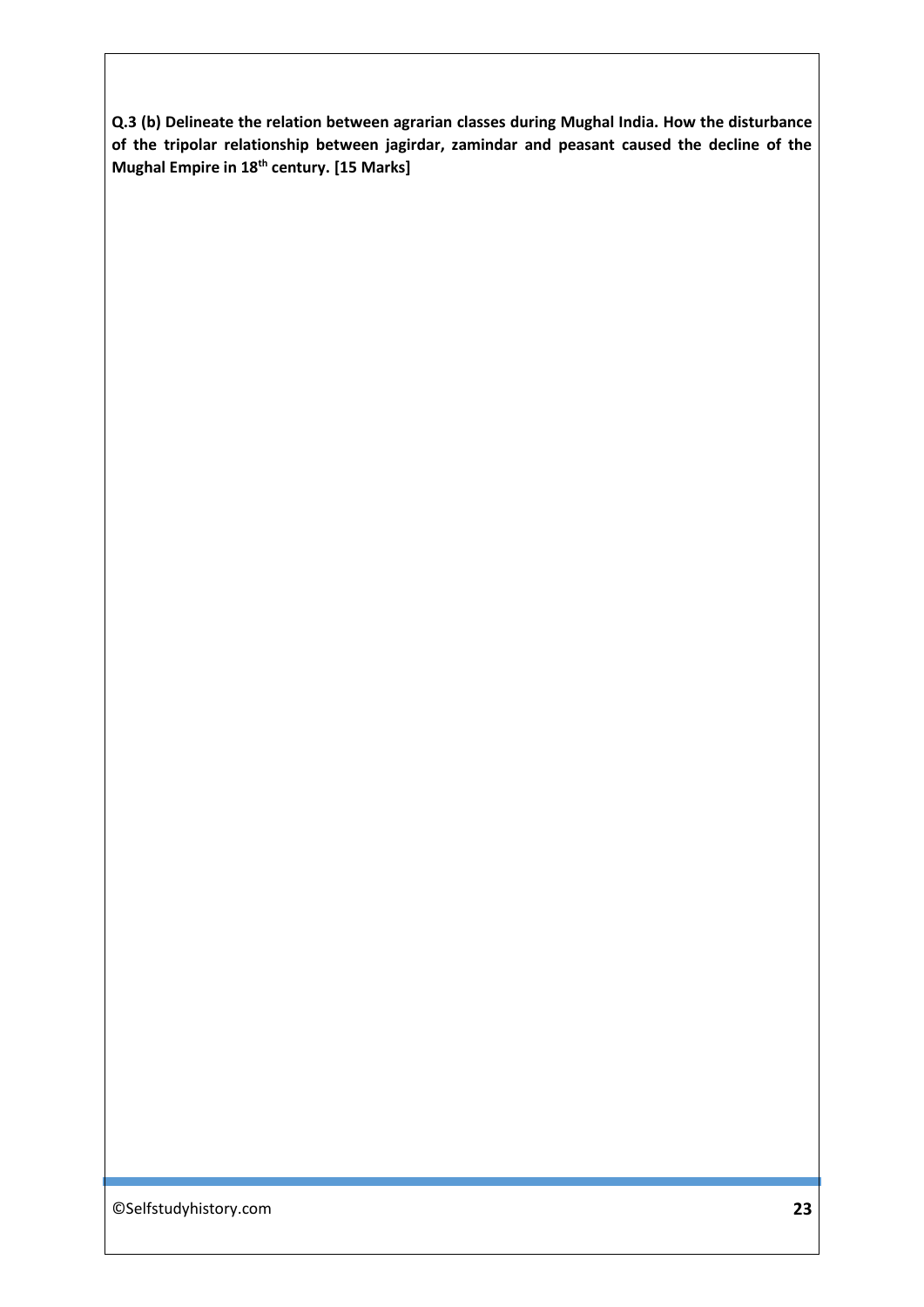**Q.3 (b) Delineate the relation between agrarian classes during Mughal India. How the disturbance of the tripolar relationship between jagirdar, zamindar and peasant caused the decline of the Mughal Empire in 18th century. [15 Marks]**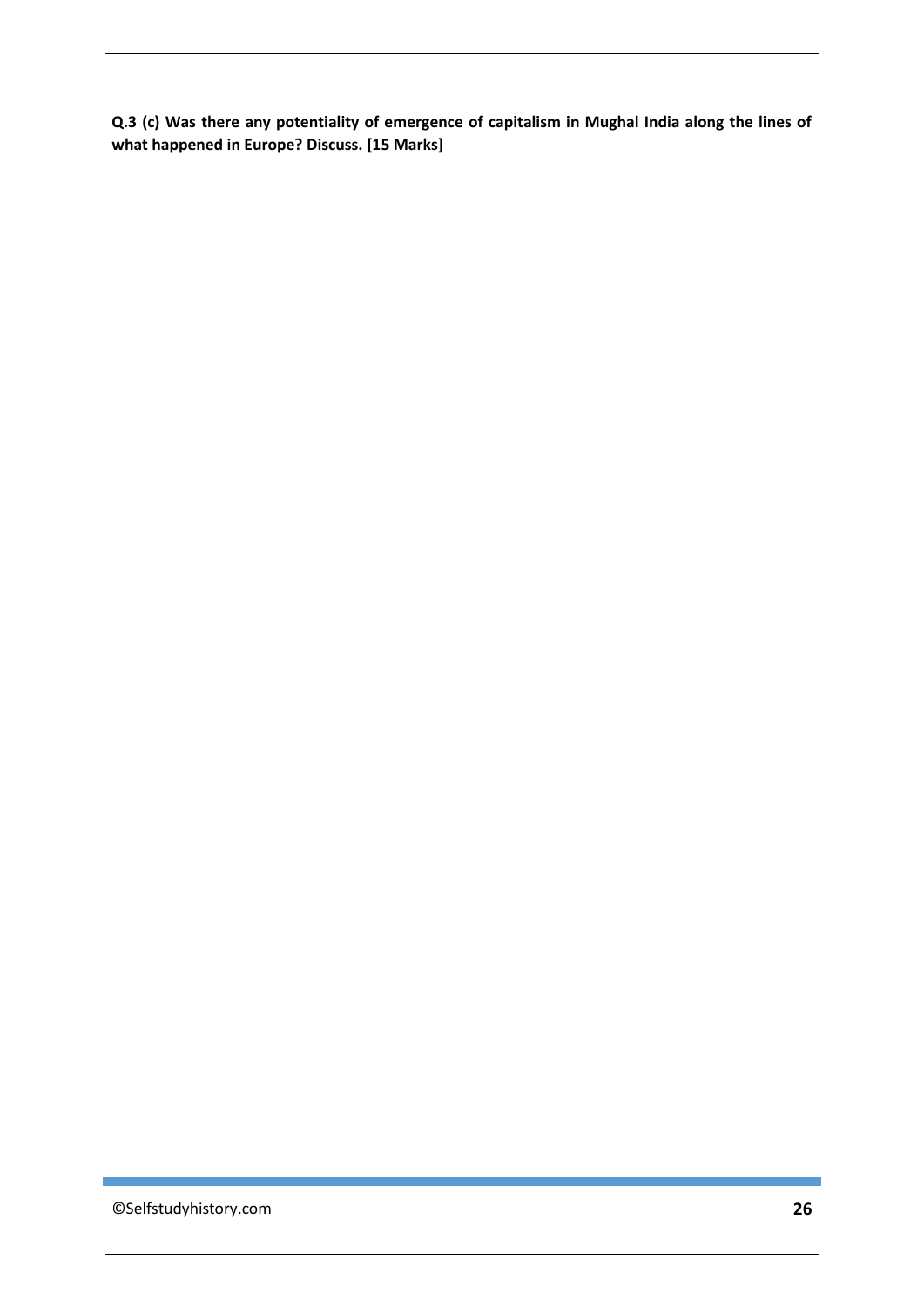**Q.3 (c) Was there any potentiality of emergence of capitalism in Mughal India along the lines of what happened in Europe? Discuss. [15 Marks]**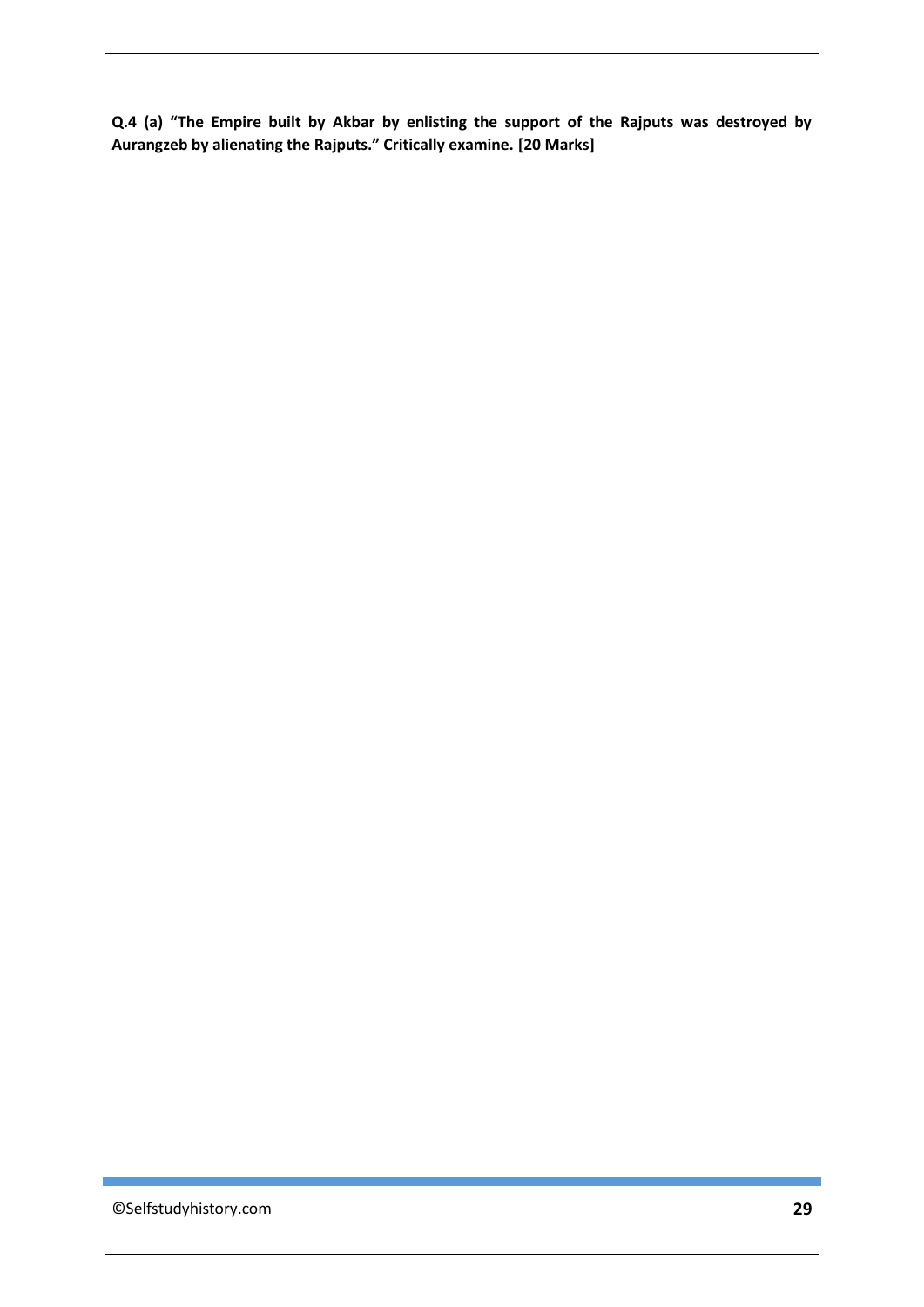**Q.4 (a) "The Empire built by Akbar by enlisting the support of the Rajputs was destroyed by Aurangzeb by alienating the Rajputs." Critically examine. [20 Marks]**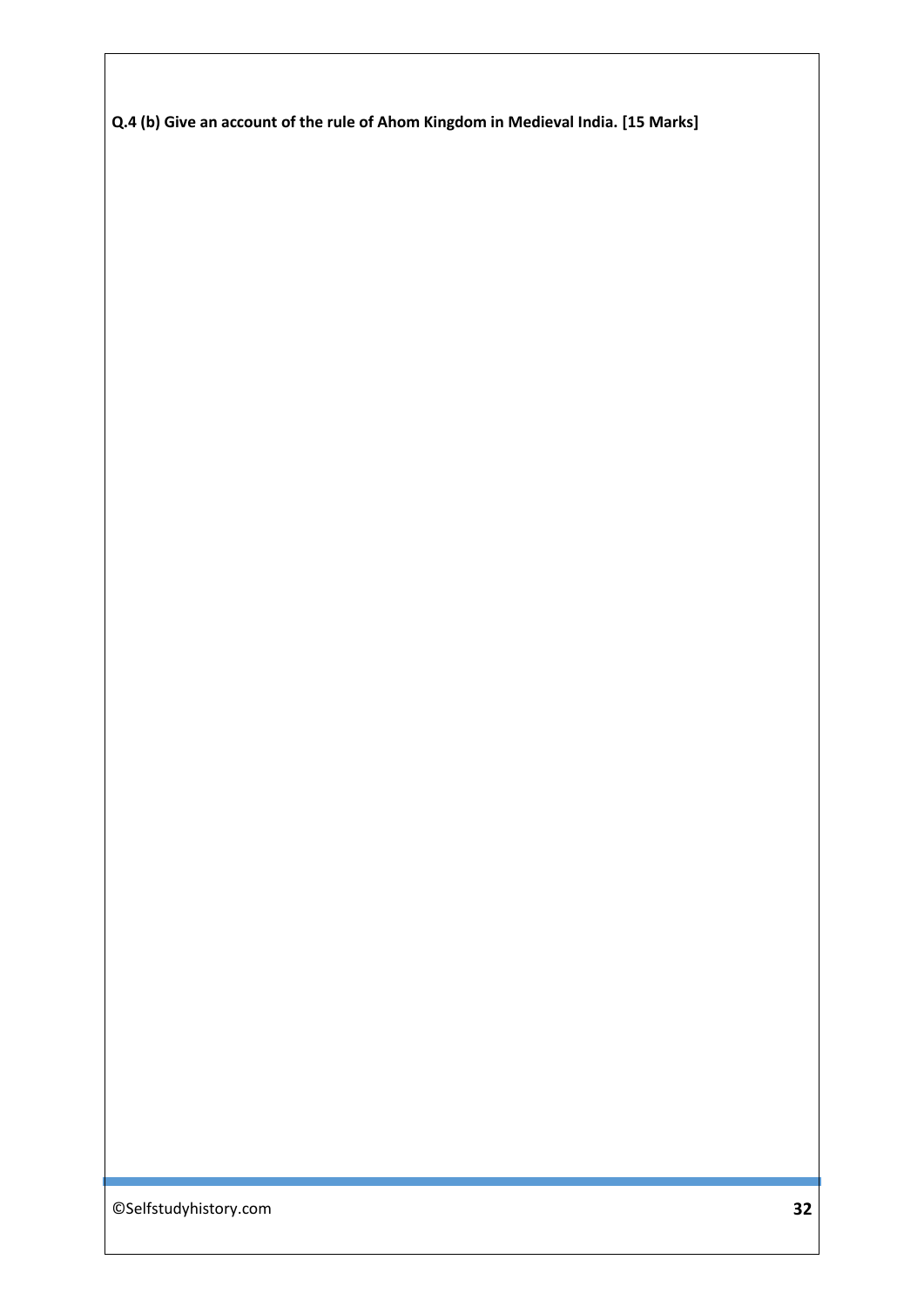**Q.4 (b) Give an account of the rule of Ahom Kingdom in Medieval India. [15 Marks]**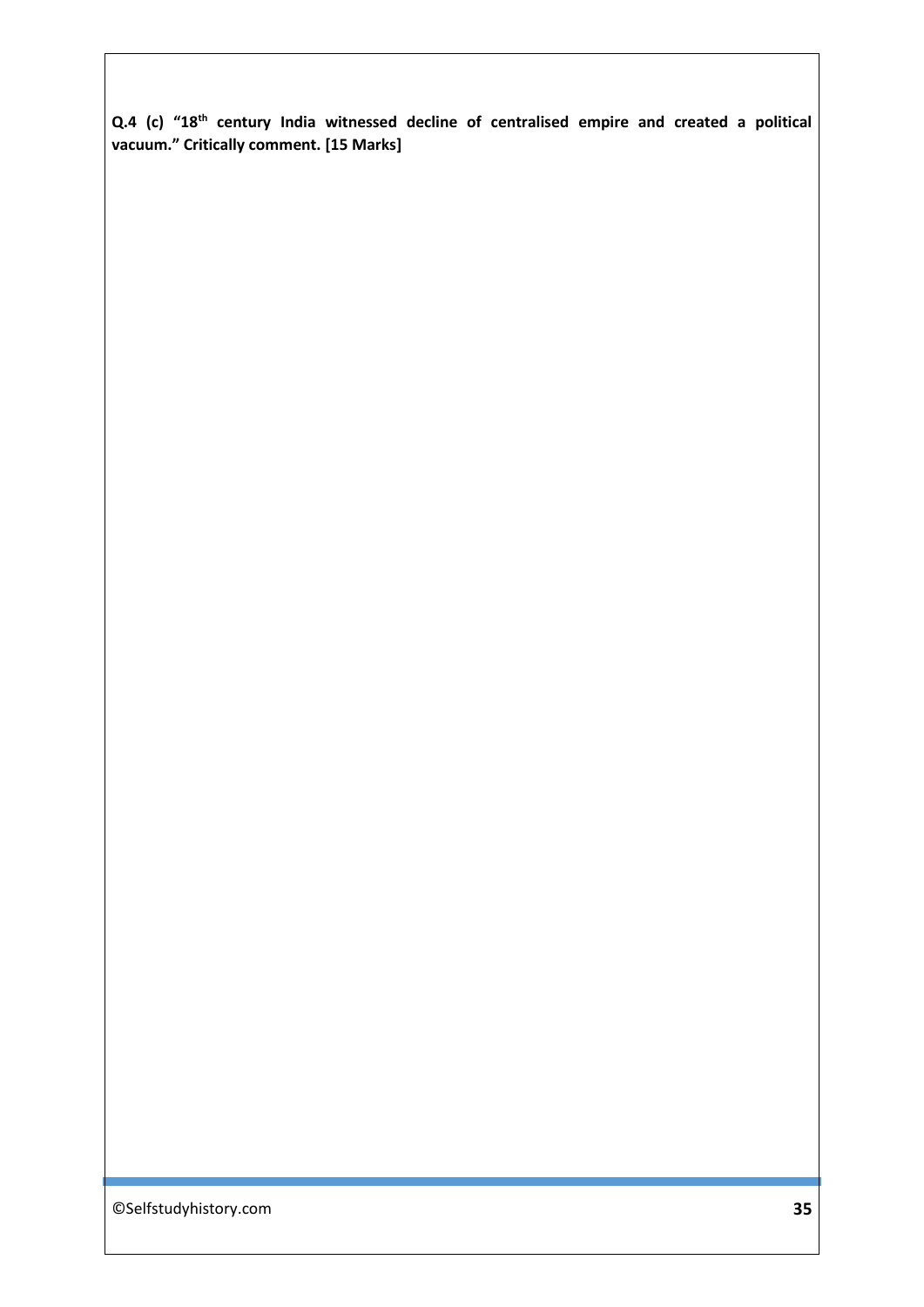**Q.4 (c) "18th century India witnessed decline of centralised empire and created a political vacuum." Critically comment. [15 Marks]**